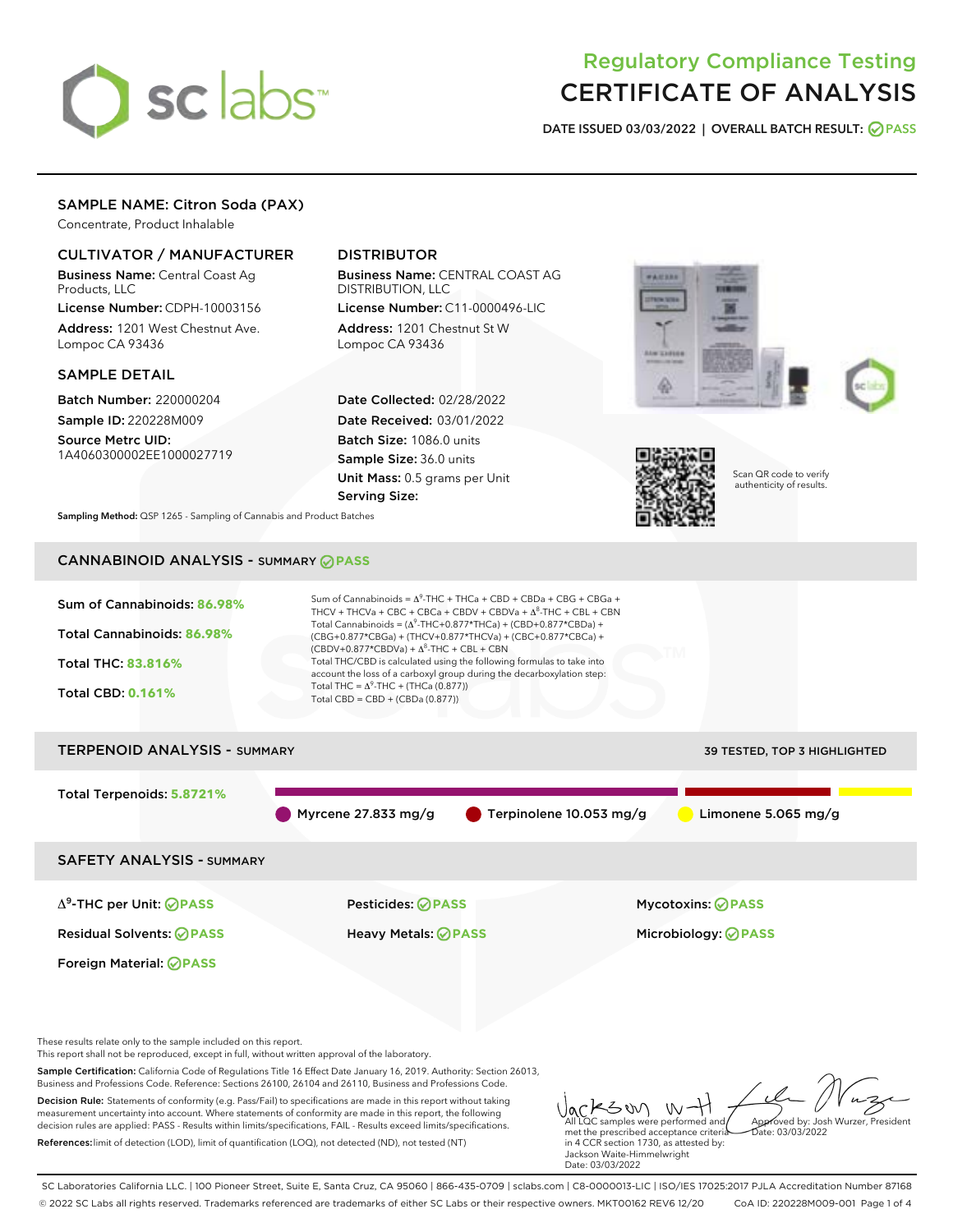# sclabs<sup>\*</sup>

## Regulatory Compliance Testing CERTIFICATE OF ANALYSIS

DATE ISSUED 03/03/2022 | OVERALL BATCH RESULT: @ PASS

#### SAMPLE NAME: Citron Soda (PAX)

Concentrate, Product Inhalable

#### CULTIVATOR / MANUFACTURER

Business Name: Central Coast Ag Products, LLC

License Number: CDPH-10003156 Address: 1201 West Chestnut Ave. Lompoc CA 93436

#### SAMPLE DETAIL

Batch Number: 220000204 Sample ID: 220228M009

Source Metrc UID: 1A4060300002EE1000027719

#### DISTRIBUTOR

Business Name: CENTRAL COAST AG DISTRIBUTION, LLC

License Number: C11-0000496-LIC Address: 1201 Chestnut St W Lompoc CA 93436

Date Collected: 02/28/2022 Date Received: 03/01/2022 Batch Size: 1086.0 units Sample Size: 36.0 units Unit Mass: 0.5 grams per Unit Serving Size:







Scan QR code to verify authenticity of results.

Sampling Method: QSP 1265 - Sampling of Cannabis and Product Batches

### CANNABINOID ANALYSIS - SUMMARY **PASS**



SC Laboratories California LLC. | 100 Pioneer Street, Suite E, Santa Cruz, CA 95060 | 866-435-0709 | sclabs.com | C8-0000013-LIC | ISO/IES 17025:2017 PJLA Accreditation Number 87168 © 2022 SC Labs all rights reserved. Trademarks referenced are trademarks of either SC Labs or their respective owners. MKT00162 REV6 12/20 CoA ID: 220228M009-001 Page 1 of 4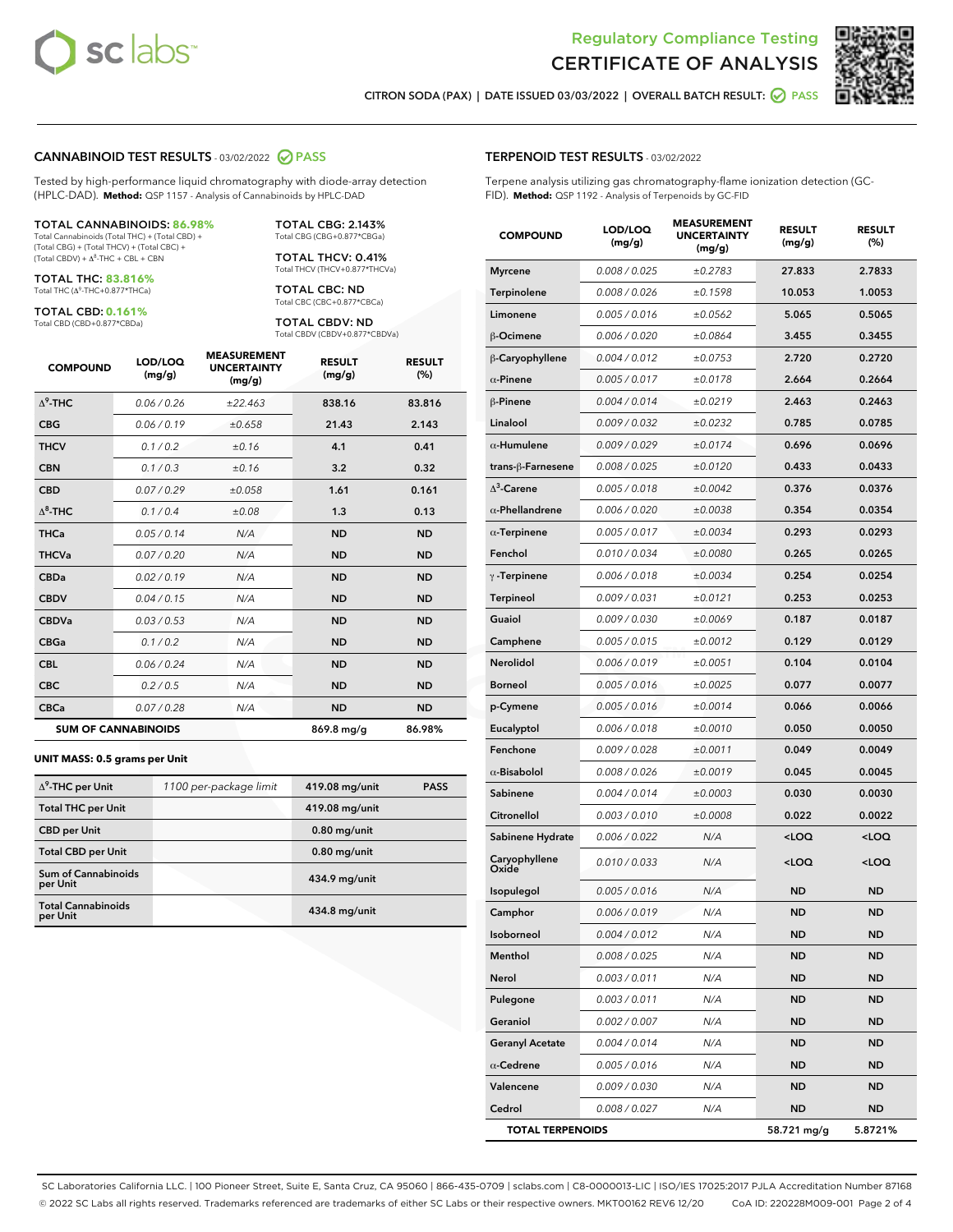



CITRON SODA (PAX) | DATE ISSUED 03/03/2022 | OVERALL BATCH RESULT: @ PASS

#### CANNABINOID TEST RESULTS - 03/02/2022 2 PASS

Tested by high-performance liquid chromatography with diode-array detection (HPLC-DAD). **Method:** QSP 1157 - Analysis of Cannabinoids by HPLC-DAD

#### TOTAL CANNABINOIDS: **86.98%**

Total Cannabinoids (Total THC) + (Total CBD) + (Total CBG) + (Total THCV) + (Total CBC) +  $(Total$  CBDV) +  $\Delta$ <sup>8</sup>-THC + CBL + CBN

TOTAL THC: **83.816%** Total THC (Δ<sup>9</sup> -THC+0.877\*THCa)

TOTAL CBD: **0.161%**

Total CBD (CBD+0.877\*CBDa)

TOTAL CBG: 2.143% Total CBG (CBG+0.877\*CBGa)

TOTAL THCV: 0.41% Total THCV (THCV+0.877\*THCVa)

TOTAL CBC: ND Total CBC (CBC+0.877\*CBCa)

TOTAL CBDV: ND Total CBDV (CBDV+0.877\*CBDVa)

| <b>COMPOUND</b>  | LOD/LOQ<br>(mg/g)          | <b>MEASUREMENT</b><br><b>UNCERTAINTY</b><br>(mg/g) | <b>RESULT</b><br>(mg/g) | <b>RESULT</b><br>(%) |
|------------------|----------------------------|----------------------------------------------------|-------------------------|----------------------|
| $\Lambda^9$ -THC | 0.06 / 0.26                | ±22.463                                            | 838.16                  | 83.816               |
| <b>CBG</b>       | 0.06/0.19                  | ±0.658                                             | 21.43                   | 2.143                |
| <b>THCV</b>      | 0.1 / 0.2                  | ±0.16                                              | 4.1                     | 0.41                 |
| <b>CBN</b>       | 0.1/0.3                    | ±0.16                                              | 3.2                     | 0.32                 |
| <b>CBD</b>       | 0.07/0.29                  | ±0.058                                             | 1.61                    | 0.161                |
| $\Delta^8$ -THC  | 0.1 / 0.4                  | ±0.08                                              | 1.3                     | 0.13                 |
| <b>THCa</b>      | 0.05/0.14                  | N/A                                                | <b>ND</b>               | <b>ND</b>            |
| <b>THCVa</b>     | 0.07/0.20                  | N/A                                                | <b>ND</b>               | <b>ND</b>            |
| <b>CBDa</b>      | 0.02/0.19                  | N/A                                                | <b>ND</b>               | <b>ND</b>            |
| <b>CBDV</b>      | 0.04 / 0.15                | N/A                                                | <b>ND</b>               | <b>ND</b>            |
| <b>CBDVa</b>     | 0.03/0.53                  | N/A                                                | <b>ND</b>               | <b>ND</b>            |
| <b>CBGa</b>      | 0.1 / 0.2                  | N/A                                                | <b>ND</b>               | <b>ND</b>            |
| <b>CBL</b>       | 0.06 / 0.24                | N/A                                                | <b>ND</b>               | <b>ND</b>            |
| <b>CBC</b>       | 0.2 / 0.5                  | N/A                                                | <b>ND</b>               | <b>ND</b>            |
| <b>CBCa</b>      | 0.07 / 0.28                | N/A                                                | <b>ND</b>               | <b>ND</b>            |
|                  | <b>SUM OF CANNABINOIDS</b> |                                                    | 869.8 mg/g              | 86.98%               |

#### **UNIT MASS: 0.5 grams per Unit**

| $\Delta^9$ -THC per Unit               | 1100 per-package limit | 419.08 mg/unit | <b>PASS</b> |
|----------------------------------------|------------------------|----------------|-------------|
| <b>Total THC per Unit</b>              |                        | 419.08 mg/unit |             |
| <b>CBD</b> per Unit                    |                        | $0.80$ mg/unit |             |
| <b>Total CBD per Unit</b>              |                        | $0.80$ mg/unit |             |
| <b>Sum of Cannabinoids</b><br>per Unit |                        | 434.9 mg/unit  |             |
| <b>Total Cannabinoids</b><br>per Unit  |                        | 434.8 mg/unit  |             |

| <b>COMPOUND</b>         | LOD/LOQ<br>(mg/g) | <b>MEASUREMENT</b><br><b>UNCERTAINTY</b><br>(mg/g) | <b>RESULT</b><br>(mg/g)                         | <b>RESULT</b><br>(%) |
|-------------------------|-------------------|----------------------------------------------------|-------------------------------------------------|----------------------|
| <b>Myrcene</b>          | 0.008 / 0.025     | ±0.2783                                            | 27.833                                          | 2.7833               |
| Terpinolene             | 0.008 / 0.026     | ±0.1598                                            | 10.053                                          | 1.0053               |
| Limonene                | 0.005 / 0.016     | ±0.0562                                            | 5.065                                           | 0.5065               |
| $\beta$ -Ocimene        | 0.006 / 0.020     | ±0.0864                                            | 3.455                                           | 0.3455               |
| β-Caryophyllene         | 0.004 / 0.012     | ±0.0753                                            | 2.720                                           | 0.2720               |
| $\alpha$ -Pinene        | 0.005 / 0.017     | ±0.0178                                            | 2.664                                           | 0.2664               |
| $\beta$ -Pinene         | 0.004 / 0.014     | ±0.0219                                            | 2.463                                           | 0.2463               |
| Linalool                | 0.009 / 0.032     | ±0.0232                                            | 0.785                                           | 0.0785               |
| $\alpha$ -Humulene      | 0.009 / 0.029     | ±0.0174                                            | 0.696                                           | 0.0696               |
| trans-ß-Farnesene       | 0.008 / 0.025     | ±0.0120                                            | 0.433                                           | 0.0433               |
| $\Delta^3$ -Carene      | 0.005 / 0.018     | ±0.0042                                            | 0.376                                           | 0.0376               |
| $\alpha$ -Phellandrene  | 0.006 / 0.020     | ±0.0038                                            | 0.354                                           | 0.0354               |
| $\alpha$ -Terpinene     | 0.005 / 0.017     | ±0.0034                                            | 0.293                                           | 0.0293               |
| Fenchol                 | 0.010 / 0.034     | ±0.0080                                            | 0.265                                           | 0.0265               |
| $\gamma$ -Terpinene     | 0.006 / 0.018     | ±0.0034                                            | 0.254                                           | 0.0254               |
| <b>Terpineol</b>        | 0.009 / 0.031     | ±0.0121                                            | 0.253                                           | 0.0253               |
| Guaiol                  | 0.009 / 0.030     | ±0.0069                                            | 0.187                                           | 0.0187               |
| Camphene                | 0.005 / 0.015     | ±0.0012                                            | 0.129                                           | 0.0129               |
| Nerolidol               | 0.006 / 0.019     | ±0.0051                                            | 0.104                                           | 0.0104               |
| <b>Borneol</b>          | 0.005 / 0.016     | ±0.0025                                            | 0.077                                           | 0.0077               |
| p-Cymene                | 0.005 / 0.016     | ±0.0014                                            | 0.066                                           | 0.0066               |
| Eucalyptol              | 0.006 / 0.018     | ±0.0010                                            | 0.050                                           | 0.0050               |
| Fenchone                | 0.009 / 0.028     | ±0.0011                                            | 0.049                                           | 0.0049               |
| $\alpha$ -Bisabolol     | 0.008 / 0.026     | ±0.0019                                            | 0.045                                           | 0.0045               |
| Sabinene                | 0.004 / 0.014     | ±0.0003                                            | 0.030                                           | 0.0030               |
| Citronellol             | 0.003 / 0.010     | ±0.0008                                            | 0.022                                           | 0.0022               |
| Sabinene Hydrate        | 0.006 / 0.022     | N/A                                                | <loq< th=""><th><loq< th=""></loq<></th></loq<> | <loq< th=""></loq<>  |
| Caryophyllene<br>Oxide  | 0.010 / 0.033     | N/A                                                | <loq< th=""><th><loq< th=""></loq<></th></loq<> | <loq< th=""></loq<>  |
| Isopulegol              | 0.005 / 0.016     | N/A                                                | ND                                              | <b>ND</b>            |
| Camphor                 | 0.006 / 0.019     | N/A                                                | <b>ND</b>                                       | <b>ND</b>            |
| Isoborneol              | 0.004 / 0.012     | N/A                                                | ND                                              | ND                   |
| Menthol                 | 0.008 / 0.025     | N/A                                                | ND                                              | ND                   |
| Nerol                   | 0.003 / 0.011     | N/A                                                | ND                                              | ND                   |
| Pulegone                | 0.003 / 0.011     | N/A                                                | ND                                              | ND                   |
| Geraniol                | 0.002 / 0.007     | N/A                                                | ND                                              | ND                   |
| <b>Geranyl Acetate</b>  | 0.004 / 0.014     | N/A                                                | ND                                              | ND                   |
| $\alpha$ -Cedrene       | 0.005 / 0.016     | N/A                                                | ND                                              | <b>ND</b>            |
| Valencene               | 0.009 / 0.030     | N/A                                                | ND                                              | ND                   |
| Cedrol                  | 0.008 / 0.027     | N/A                                                | ND                                              | ND                   |
| <b>TOTAL TERPENOIDS</b> |                   |                                                    | 58.721 mg/g                                     | 5.8721%              |

SC Laboratories California LLC. | 100 Pioneer Street, Suite E, Santa Cruz, CA 95060 | 866-435-0709 | sclabs.com | C8-0000013-LIC | ISO/IES 17025:2017 PJLA Accreditation Number 87168 © 2022 SC Labs all rights reserved. Trademarks referenced are trademarks of either SC Labs or their respective owners. MKT00162 REV6 12/20 CoA ID: 220228M009-001 Page 2 of 4

#### TERPENOID TEST RESULTS - 03/02/2022

Terpene analysis utilizing gas chromatography-flame ionization detection (GC-FID). **Method:** QSP 1192 - Analysis of Terpenoids by GC-FID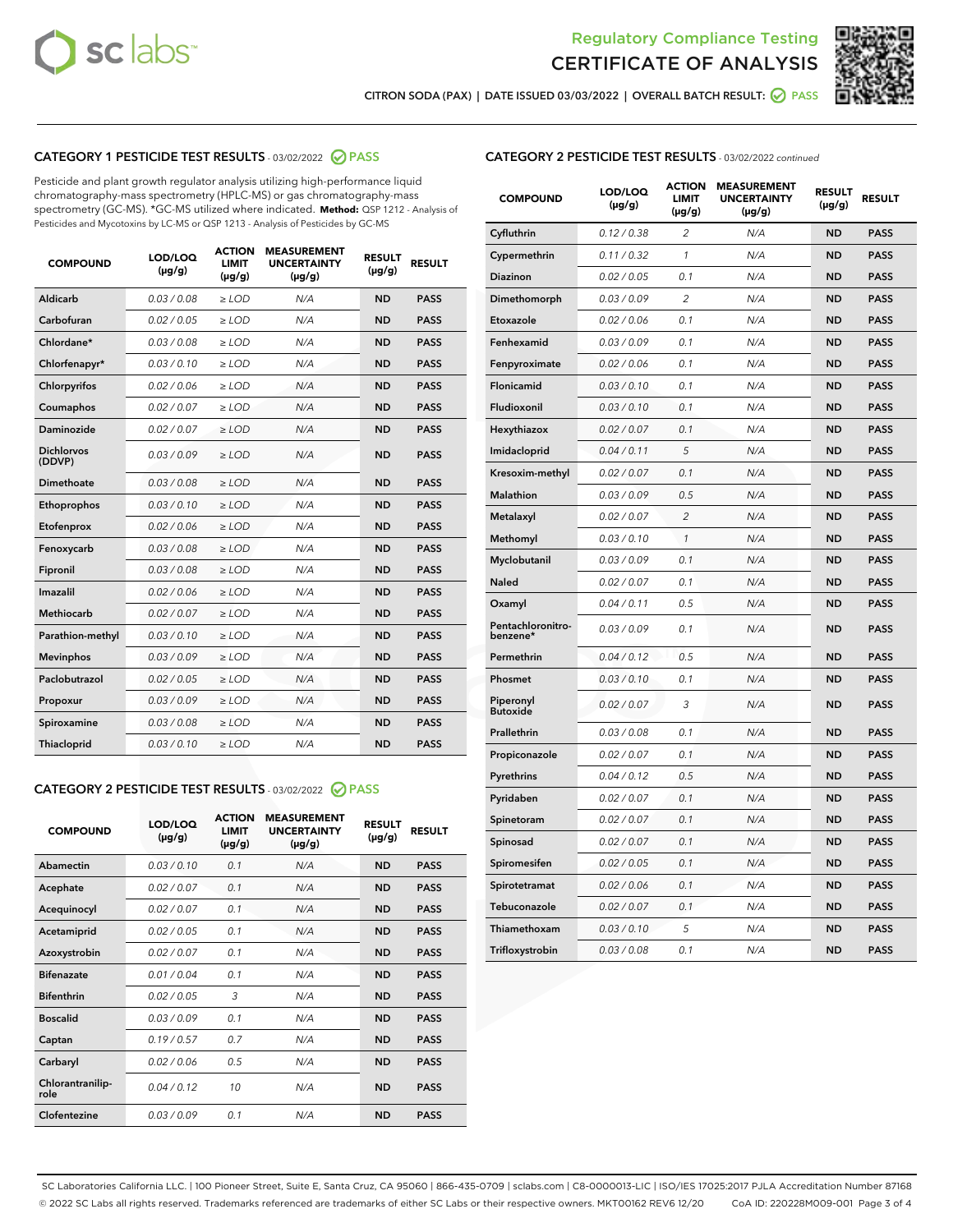



CITRON SODA (PAX) | DATE ISSUED 03/03/2022 | OVERALL BATCH RESULT: @ PASS

#### CATEGORY 1 PESTICIDE TEST RESULTS - 03/02/2022 2 PASS

Pesticide and plant growth regulator analysis utilizing high-performance liquid chromatography-mass spectrometry (HPLC-MS) or gas chromatography-mass spectrometry (GC-MS). \*GC-MS utilized where indicated. **Method:** QSP 1212 - Analysis of Pesticides and Mycotoxins by LC-MS or QSP 1213 - Analysis of Pesticides by GC-MS

| <b>COMPOUND</b>             | LOD/LOQ<br>$(\mu g/g)$ | <b>ACTION</b><br>LIMIT<br>$(\mu g/g)$ | <b>MEASUREMENT</b><br><b>UNCERTAINTY</b><br>$(\mu g/g)$ | <b>RESULT</b><br>$(\mu g/g)$ | <b>RESULT</b> |
|-----------------------------|------------------------|---------------------------------------|---------------------------------------------------------|------------------------------|---------------|
| Aldicarb                    | 0.03 / 0.08            | $\ge$ LOD                             | N/A                                                     | <b>ND</b>                    | <b>PASS</b>   |
| Carbofuran                  | 0.02 / 0.05            | $\ge$ LOD                             | N/A                                                     | <b>ND</b>                    | <b>PASS</b>   |
| Chlordane*                  | 0.03/0.08              | $>$ LOD                               | N/A                                                     | <b>ND</b>                    | <b>PASS</b>   |
| Chlorfenapyr*               | 0.03/0.10              | $>$ LOD                               | N/A                                                     | <b>ND</b>                    | <b>PASS</b>   |
| Chlorpyrifos                | 0.02 / 0.06            | $\ge$ LOD                             | N/A                                                     | <b>ND</b>                    | <b>PASS</b>   |
| Coumaphos                   | 0.02 / 0.07            | $\ge$ LOD                             | N/A                                                     | <b>ND</b>                    | <b>PASS</b>   |
| Daminozide                  | 0.02 / 0.07            | $\ge$ LOD                             | N/A                                                     | <b>ND</b>                    | <b>PASS</b>   |
| <b>Dichlorvos</b><br>(DDVP) | 0.03/0.09              | $>$ LOD                               | N/A                                                     | <b>ND</b>                    | <b>PASS</b>   |
| Dimethoate                  | 0.03 / 0.08            | $\ge$ LOD                             | N/A                                                     | <b>ND</b>                    | <b>PASS</b>   |
| Ethoprophos                 | 0.03/0.10              | $\ge$ LOD                             | N/A                                                     | <b>ND</b>                    | <b>PASS</b>   |
| Etofenprox                  | 0.02 / 0.06            | $\ge$ LOD                             | N/A                                                     | <b>ND</b>                    | <b>PASS</b>   |
| Fenoxycarb                  | 0.03 / 0.08            | $\ge$ LOD                             | N/A                                                     | <b>ND</b>                    | <b>PASS</b>   |
| Fipronil                    | 0.03 / 0.08            | $\ge$ LOD                             | N/A                                                     | <b>ND</b>                    | <b>PASS</b>   |
| Imazalil                    | 0.02/0.06              | $>$ LOD                               | N/A                                                     | <b>ND</b>                    | <b>PASS</b>   |
| <b>Methiocarb</b>           | 0.02 / 0.07            | $\ge$ LOD                             | N/A                                                     | <b>ND</b>                    | <b>PASS</b>   |
| Parathion-methyl            | 0.03/0.10              | $\ge$ LOD                             | N/A                                                     | <b>ND</b>                    | <b>PASS</b>   |
| <b>Mevinphos</b>            | 0.03/0.09              | $>$ LOD                               | N/A                                                     | <b>ND</b>                    | <b>PASS</b>   |
| Paclobutrazol               | 0.02 / 0.05            | $\ge$ LOD                             | N/A                                                     | <b>ND</b>                    | <b>PASS</b>   |
| Propoxur                    | 0.03/0.09              | $\ge$ LOD                             | N/A                                                     | <b>ND</b>                    | <b>PASS</b>   |
| Spiroxamine                 | 0.03 / 0.08            | $\geq$ LOD                            | N/A                                                     | <b>ND</b>                    | <b>PASS</b>   |
| Thiacloprid                 | 0.03/0.10              | $>$ LOD                               | N/A                                                     | <b>ND</b>                    | <b>PASS</b>   |

#### CATEGORY 2 PESTICIDE TEST RESULTS - 03/02/2022 @ PASS

| <b>COMPOUND</b>          | LOD/LOO<br>$(\mu g/g)$ | <b>ACTION</b><br><b>LIMIT</b><br>$(\mu g/g)$ | <b>MEASUREMENT</b><br><b>UNCERTAINTY</b><br>$(\mu g/g)$ | <b>RESULT</b><br>$(\mu g/g)$ | <b>RESULT</b> |  |
|--------------------------|------------------------|----------------------------------------------|---------------------------------------------------------|------------------------------|---------------|--|
| Abamectin                | 0.03/0.10              | 0.1                                          | N/A                                                     | <b>ND</b>                    | <b>PASS</b>   |  |
| Acephate                 | 0.02/0.07              | 0.1                                          | N/A                                                     | <b>ND</b>                    | <b>PASS</b>   |  |
| Acequinocyl              | 0.02/0.07              | 0.1                                          | N/A                                                     | <b>ND</b>                    | <b>PASS</b>   |  |
| Acetamiprid              | 0.02/0.05              | 0.1                                          | N/A                                                     | <b>ND</b>                    | <b>PASS</b>   |  |
| Azoxystrobin             | 0.02/0.07              | 0.1                                          | N/A                                                     | <b>ND</b>                    | <b>PASS</b>   |  |
| <b>Bifenazate</b>        | 0.01/0.04              | 0.1                                          | N/A                                                     | <b>ND</b>                    | <b>PASS</b>   |  |
| <b>Bifenthrin</b>        | 0.02 / 0.05            | 3                                            | N/A                                                     | <b>ND</b>                    | <b>PASS</b>   |  |
| <b>Boscalid</b>          | 0.03/0.09              | 0.1                                          | N/A                                                     | <b>ND</b>                    | <b>PASS</b>   |  |
| Captan                   | 0.19/0.57              | 0.7                                          | N/A                                                     | <b>ND</b>                    | <b>PASS</b>   |  |
| Carbaryl                 | 0.02/0.06              | 0.5                                          | N/A                                                     | <b>ND</b>                    | <b>PASS</b>   |  |
| Chlorantranilip-<br>role | 0.04/0.12              | 10                                           | N/A                                                     | <b>ND</b>                    | <b>PASS</b>   |  |
| Clofentezine             | 0.03/0.09              | 0.1                                          | N/A                                                     | <b>ND</b>                    | <b>PASS</b>   |  |

#### CATEGORY 2 PESTICIDE TEST RESULTS - 03/02/2022 continued

| <b>COMPOUND</b>               | LOD/LOQ<br>(µg/g) | <b>ACTION</b><br><b>LIMIT</b><br>(µg/g) | <b>MEASUREMENT</b><br><b>UNCERTAINTY</b><br>$(\mu g/g)$ | <b>RESULT</b><br>(µg/g) | <b>RESULT</b> |
|-------------------------------|-------------------|-----------------------------------------|---------------------------------------------------------|-------------------------|---------------|
| Cyfluthrin                    | 0.12 / 0.38       | $\overline{c}$                          | N/A                                                     | <b>ND</b>               | <b>PASS</b>   |
| Cypermethrin                  | 0.11 / 0.32       | 1                                       | N/A                                                     | <b>ND</b>               | <b>PASS</b>   |
| <b>Diazinon</b>               | 0.02 / 0.05       | 0.1                                     | N/A                                                     | <b>ND</b>               | <b>PASS</b>   |
| Dimethomorph                  | 0.03 / 0.09       | 2                                       | N/A                                                     | <b>ND</b>               | <b>PASS</b>   |
| Etoxazole                     | 0.02 / 0.06       | 0.1                                     | N/A                                                     | <b>ND</b>               | <b>PASS</b>   |
| Fenhexamid                    | 0.03 / 0.09       | 0.1                                     | N/A                                                     | <b>ND</b>               | <b>PASS</b>   |
| Fenpyroximate                 | 0.02 / 0.06       | 0.1                                     | N/A                                                     | <b>ND</b>               | <b>PASS</b>   |
| Flonicamid                    | 0.03 / 0.10       | 0.1                                     | N/A                                                     | <b>ND</b>               | <b>PASS</b>   |
| Fludioxonil                   | 0.03 / 0.10       | 0.1                                     | N/A                                                     | <b>ND</b>               | <b>PASS</b>   |
| Hexythiazox                   | 0.02 / 0.07       | 0.1                                     | N/A                                                     | <b>ND</b>               | <b>PASS</b>   |
| Imidacloprid                  | 0.04 / 0.11       | 5                                       | N/A                                                     | <b>ND</b>               | <b>PASS</b>   |
| Kresoxim-methyl               | 0.02 / 0.07       | 0.1                                     | N/A                                                     | <b>ND</b>               | <b>PASS</b>   |
| <b>Malathion</b>              | 0.03 / 0.09       | 0.5                                     | N/A                                                     | <b>ND</b>               | <b>PASS</b>   |
| Metalaxyl                     | 0.02 / 0.07       | $\overline{c}$                          | N/A                                                     | <b>ND</b>               | <b>PASS</b>   |
| Methomyl                      | 0.03 / 0.10       | 1                                       | N/A                                                     | <b>ND</b>               | <b>PASS</b>   |
| Myclobutanil                  | 0.03 / 0.09       | 0.1                                     | N/A                                                     | <b>ND</b>               | <b>PASS</b>   |
| Naled                         | 0.02 / 0.07       | 0.1                                     | N/A                                                     | <b>ND</b>               | <b>PASS</b>   |
| Oxamyl                        | 0.04 / 0.11       | 0.5                                     | N/A                                                     | <b>ND</b>               | <b>PASS</b>   |
| Pentachloronitro-<br>benzene* | 0.03/0.09         | 0.1                                     | N/A                                                     | <b>ND</b>               | <b>PASS</b>   |
| Permethrin                    | 0.04 / 0.12       | 0.5                                     | N/A                                                     | <b>ND</b>               | <b>PASS</b>   |
| Phosmet                       | 0.03 / 0.10       | 0.1                                     | N/A                                                     | <b>ND</b>               | <b>PASS</b>   |
| Piperonyl<br><b>Butoxide</b>  | 0.02 / 0.07       | 3                                       | N/A                                                     | <b>ND</b>               | <b>PASS</b>   |
| Prallethrin                   | 0.03 / 0.08       | 0.1                                     | N/A                                                     | <b>ND</b>               | <b>PASS</b>   |
| Propiconazole                 | 0.02 / 0.07       | 0.1                                     | N/A                                                     | <b>ND</b>               | <b>PASS</b>   |
| Pyrethrins                    | 0.04 / 0.12       | 0.5                                     | N/A                                                     | <b>ND</b>               | <b>PASS</b>   |
| Pyridaben                     | 0.02 / 0.07       | 0.1                                     | N/A                                                     | <b>ND</b>               | <b>PASS</b>   |
| Spinetoram                    | 0.02 / 0.07       | 0.1                                     | N/A                                                     | <b>ND</b>               | <b>PASS</b>   |
| Spinosad                      | 0.02 / 0.07       | 0.1                                     | N/A                                                     | <b>ND</b>               | <b>PASS</b>   |
| Spiromesifen                  | 0.02 / 0.05       | 0.1                                     | N/A                                                     | <b>ND</b>               | <b>PASS</b>   |
| Spirotetramat                 | 0.02 / 0.06       | 0.1                                     | N/A                                                     | <b>ND</b>               | <b>PASS</b>   |
| Tebuconazole                  | 0.02 / 0.07       | 0.1                                     | N/A                                                     | <b>ND</b>               | <b>PASS</b>   |
| Thiamethoxam                  | 0.03 / 0.10       | 5                                       | N/A                                                     | <b>ND</b>               | <b>PASS</b>   |
| Trifloxystrobin               | 0.03 / 0.08       | 0.1                                     | N/A                                                     | <b>ND</b>               | <b>PASS</b>   |

SC Laboratories California LLC. | 100 Pioneer Street, Suite E, Santa Cruz, CA 95060 | 866-435-0709 | sclabs.com | C8-0000013-LIC | ISO/IES 17025:2017 PJLA Accreditation Number 87168 © 2022 SC Labs all rights reserved. Trademarks referenced are trademarks of either SC Labs or their respective owners. MKT00162 REV6 12/20 CoA ID: 220228M009-001 Page 3 of 4